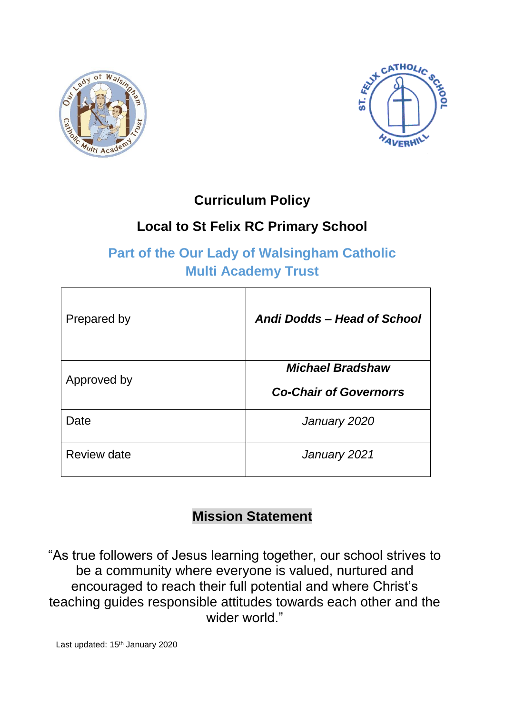



## **Curriculum Policy**

# **Local to St Felix RC Primary School**

# **Part of the Our Lady of Walsingham Catholic Multi Academy Trust**

| Prepared by | Andi Dodds - Head of School                              |
|-------------|----------------------------------------------------------|
| Approved by | <b>Michael Bradshaw</b><br><b>Co-Chair of Governorrs</b> |
| Date        | January 2020                                             |
| Review date | January 2021                                             |

# **Mission Statement**

"As true followers of Jesus learning together, our school strives to be a community where everyone is valued, nurtured and encouraged to reach their full potential and where Christ's teaching guides responsible attitudes towards each other and the wider world."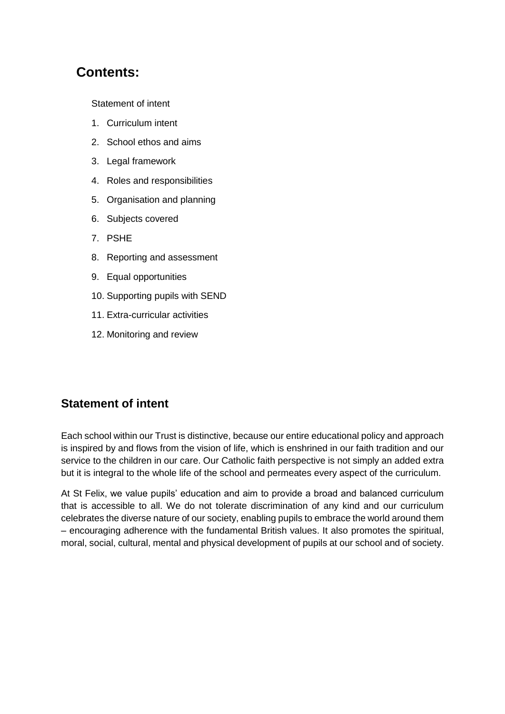## **Contents:**

Statement of intent

- 1. Curriculum intent
- 2. School ethos and aims
- 3. Legal framework
- 4. Roles and responsibilities
- 5. Organisation and planning
- 6. Subjects covered
- 7. PSHE
- 8. Reporting and assessment
- 9. Equal opportunities
- 10. Supporting pupils with SEND
- 11. Extra-curricular activities
- 12. Monitoring and review

## **Statement of intent**

Each school within our Trust is distinctive, because our entire educational policy and approach is inspired by and flows from the vision of life, which is enshrined in our faith tradition and our service to the children in our care. Our Catholic faith perspective is not simply an added extra but it is integral to the whole life of the school and permeates every aspect of the curriculum.

At St Felix, we value pupils' education and aim to provide a broad and balanced curriculum that is accessible to all. We do not tolerate discrimination of any kind and our curriculum celebrates the diverse nature of our society, enabling pupils to embrace the world around them – encouraging adherence with the fundamental British values. It also promotes the spiritual, moral, social, cultural, mental and physical development of pupils at our school and of society.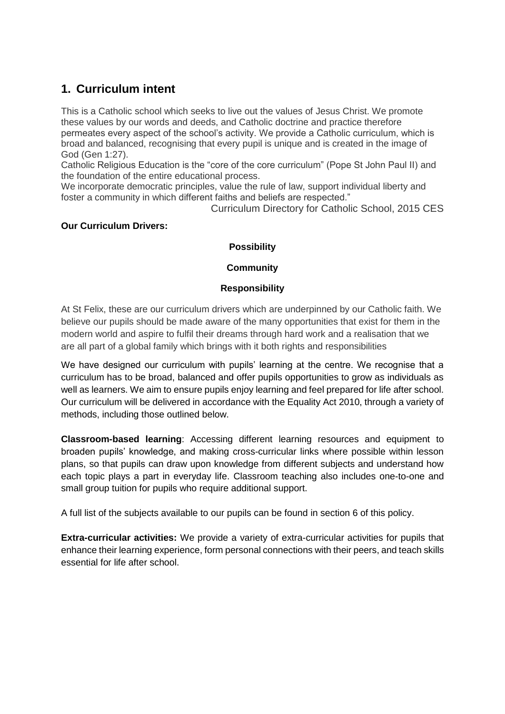## **1. Curriculum intent**

This is a Catholic school which seeks to live out the values of Jesus Christ. We promote these values by our words and deeds, and Catholic doctrine and practice therefore permeates every aspect of the school's activity. We provide a Catholic curriculum, which is broad and balanced, recognising that every pupil is unique and is created in the image of God (Gen 1:27).

Catholic Religious Education is the "core of the core curriculum" (Pope St John Paul II) and the foundation of the entire educational process.

We incorporate democratic principles, value the rule of law, support individual liberty and foster a community in which different faiths and beliefs are respected."

Curriculum Directory for Catholic School, 2015 CES

#### **Our Curriculum Drivers:**

#### **Possibility**

#### **Community**

#### **Responsibility**

At St Felix, these are our curriculum drivers which are underpinned by our Catholic faith. We believe our pupils should be made aware of the many opportunities that exist for them in the modern world and aspire to fulfil their dreams through hard work and a realisation that we are all part of a global family which brings with it both rights and responsibilities

We have designed our curriculum with pupils' learning at the centre. We recognise that a curriculum has to be broad, balanced and offer pupils opportunities to grow as individuals as well as learners. We aim to ensure pupils enjoy learning and feel prepared for life after school. Our curriculum will be delivered in accordance with the Equality Act 2010, through a variety of methods, including those outlined below.

**Classroom-based learning**: Accessing different learning resources and equipment to broaden pupils' knowledge, and making cross-curricular links where possible within lesson plans, so that pupils can draw upon knowledge from different subjects and understand how each topic plays a part in everyday life. Classroom teaching also includes one-to-one and small group tuition for pupils who require additional support.

A full list of the subjects available to our pupils can be found in section 6 of this policy.

**Extra-curricular activities:** We provide a variety of extra-curricular activities for pupils that enhance their learning experience, form personal connections with their peers, and teach skills essential for life after school.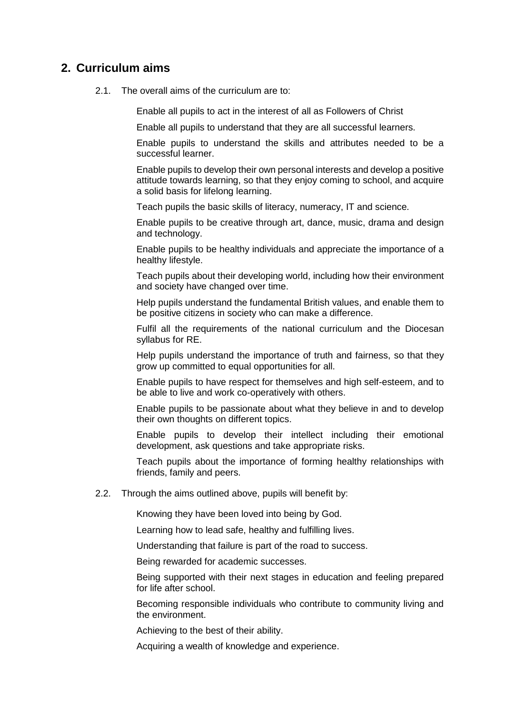#### **2. Curriculum aims**

2.1. The overall aims of the curriculum are to:

Enable all pupils to act in the interest of all as Followers of Christ

Enable all pupils to understand that they are all successful learners.

Enable pupils to understand the skills and attributes needed to be a successful learner.

Enable pupils to develop their own personal interests and develop a positive attitude towards learning, so that they enjoy coming to school, and acquire a solid basis for lifelong learning.

Teach pupils the basic skills of literacy, numeracy, IT and science.

Enable pupils to be creative through art, dance, music, drama and design and technology.

Enable pupils to be healthy individuals and appreciate the importance of a healthy lifestyle.

Teach pupils about their developing world, including how their environment and society have changed over time.

Help pupils understand the fundamental British values, and enable them to be positive citizens in society who can make a difference.

Fulfil all the requirements of the national curriculum and the Diocesan syllabus for RE.

Help pupils understand the importance of truth and fairness, so that they grow up committed to equal opportunities for all.

Enable pupils to have respect for themselves and high self-esteem, and to be able to live and work co-operatively with others.

Enable pupils to be passionate about what they believe in and to develop their own thoughts on different topics.

Enable pupils to develop their intellect including their emotional development, ask questions and take appropriate risks.

Teach pupils about the importance of forming healthy relationships with friends, family and peers.

2.2. Through the aims outlined above, pupils will benefit by:

Knowing they have been loved into being by God.

Learning how to lead safe, healthy and fulfilling lives.

Understanding that failure is part of the road to success.

Being rewarded for academic successes.

Being supported with their next stages in education and feeling prepared for life after school.

Becoming responsible individuals who contribute to community living and the environment.

Achieving to the best of their ability.

Acquiring a wealth of knowledge and experience.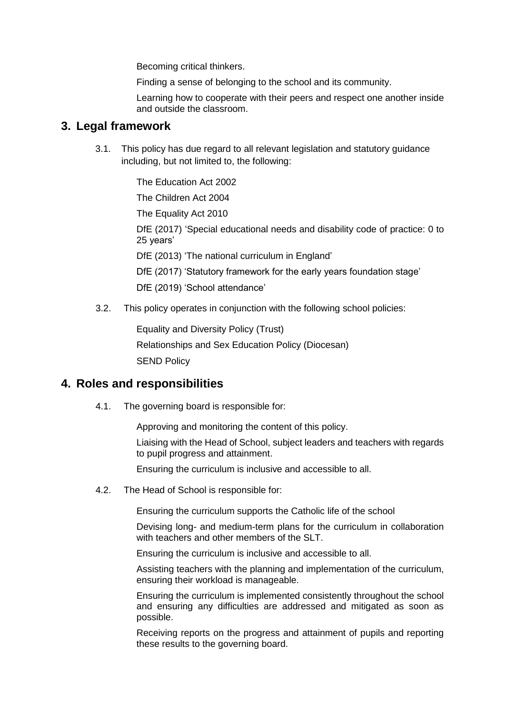Becoming critical thinkers.

Finding a sense of belonging to the school and its community.

Learning how to cooperate with their peers and respect one another inside and outside the classroom.

#### **3. Legal framework**

3.1. This policy has due regard to all relevant legislation and statutory guidance including, but not limited to, the following:

The Education Act 2002

The Children Act 2004

The Equality Act 2010

DfE (2017) 'Special educational needs and disability code of practice: 0 to 25 years'

DfE (2013) 'The national curriculum in England'

DfE (2017) 'Statutory framework for the early years foundation stage'

DfE (2019) 'School attendance'

3.2. This policy operates in conjunction with the following school policies:

Equality and Diversity Policy (Trust) Relationships and Sex Education Policy (Diocesan) SEND Policy

#### **4. Roles and responsibilities**

4.1. The governing board is responsible for:

Approving and monitoring the content of this policy.

Liaising with the Head of School, subject leaders and teachers with regards to pupil progress and attainment.

Ensuring the curriculum is inclusive and accessible to all.

4.2. The Head of School is responsible for:

Ensuring the curriculum supports the Catholic life of the school

Devising long- and medium-term plans for the curriculum in collaboration with teachers and other members of the SLT.

Ensuring the curriculum is inclusive and accessible to all.

Assisting teachers with the planning and implementation of the curriculum, ensuring their workload is manageable.

Ensuring the curriculum is implemented consistently throughout the school and ensuring any difficulties are addressed and mitigated as soon as possible.

Receiving reports on the progress and attainment of pupils and reporting these results to the governing board.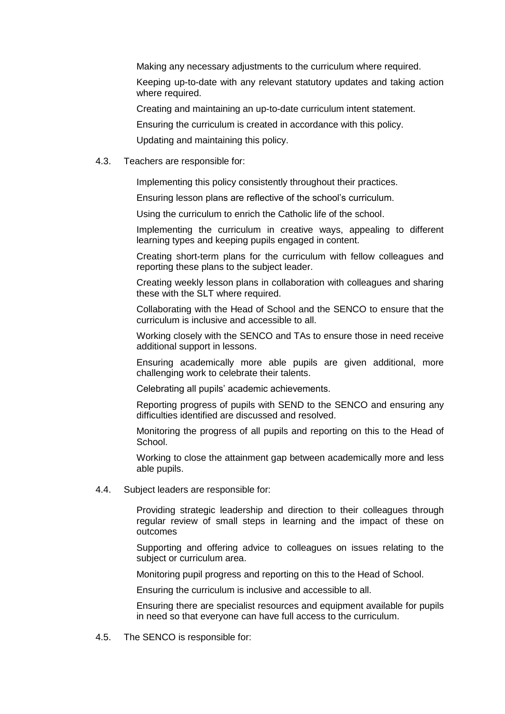Making any necessary adjustments to the curriculum where required.

Keeping up-to-date with any relevant statutory updates and taking action where required.

Creating and maintaining an up-to-date curriculum intent statement.

Ensuring the curriculum is created in accordance with this policy.

Updating and maintaining this policy.

#### 4.3. Teachers are responsible for:

Implementing this policy consistently throughout their practices.

Ensuring lesson plans are reflective of the school's curriculum.

Using the curriculum to enrich the Catholic life of the school.

Implementing the curriculum in creative ways, appealing to different learning types and keeping pupils engaged in content.

Creating short-term plans for the curriculum with fellow colleagues and reporting these plans to the subject leader.

Creating weekly lesson plans in collaboration with colleagues and sharing these with the SLT where required.

Collaborating with the Head of School and the SENCO to ensure that the curriculum is inclusive and accessible to all.

Working closely with the SENCO and TAs to ensure those in need receive additional support in lessons.

Ensuring academically more able pupils are given additional, more challenging work to celebrate their talents.

Celebrating all pupils' academic achievements.

Reporting progress of pupils with SEND to the SENCO and ensuring any difficulties identified are discussed and resolved.

Monitoring the progress of all pupils and reporting on this to the Head of School.

Working to close the attainment gap between academically more and less able pupils.

4.4. Subject leaders are responsible for:

Providing strategic leadership and direction to their colleagues through regular review of small steps in learning and the impact of these on outcomes

Supporting and offering advice to colleagues on issues relating to the subject or curriculum area.

Monitoring pupil progress and reporting on this to the Head of School.

Ensuring the curriculum is inclusive and accessible to all.

Ensuring there are specialist resources and equipment available for pupils in need so that everyone can have full access to the curriculum.

4.5. The SENCO is responsible for: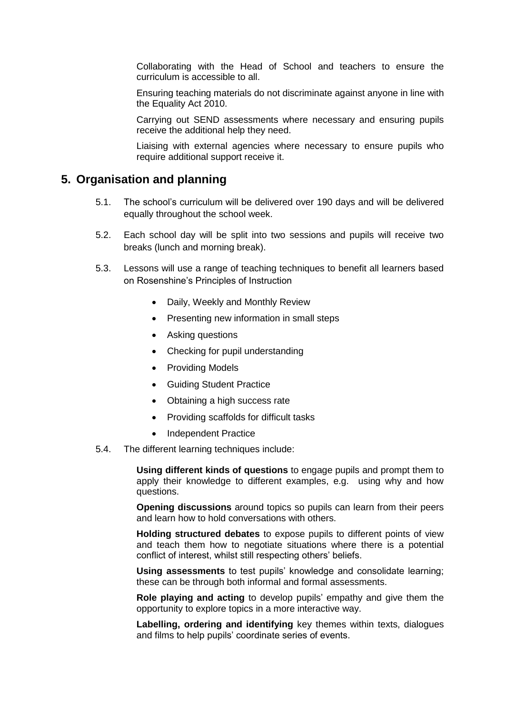Collaborating with the Head of School and teachers to ensure the curriculum is accessible to all.

Ensuring teaching materials do not discriminate against anyone in line with the Equality Act 2010.

Carrying out SEND assessments where necessary and ensuring pupils receive the additional help they need.

Liaising with external agencies where necessary to ensure pupils who require additional support receive it.

#### **5. Organisation and planning**

- 5.1. The school's curriculum will be delivered over 190 days and will be delivered equally throughout the school week.
- 5.2. Each school day will be split into two sessions and pupils will receive two breaks (lunch and morning break).
- 5.3. Lessons will use a range of teaching techniques to benefit all learners based on Rosenshine's Principles of Instruction
	- Daily, Weekly and Monthly Review
	- Presenting new information in small steps
	- Asking questions
	- Checking for pupil understanding
	- Providing Models
	- Guiding Student Practice
	- Obtaining a high success rate
	- Providing scaffolds for difficult tasks
	- Independent Practice
- 5.4. The different learning techniques include:

**Using different kinds of questions** to engage pupils and prompt them to apply their knowledge to different examples, e.g. using why and how questions.

**Opening discussions** around topics so pupils can learn from their peers and learn how to hold conversations with others.

**Holding structured debates** to expose pupils to different points of view and teach them how to negotiate situations where there is a potential conflict of interest, whilst still respecting others' beliefs.

**Using assessments** to test pupils' knowledge and consolidate learning; these can be through both informal and formal assessments.

**Role playing and acting** to develop pupils' empathy and give them the opportunity to explore topics in a more interactive way.

**Labelling, ordering and identifying** key themes within texts, dialogues and films to help pupils' coordinate series of events.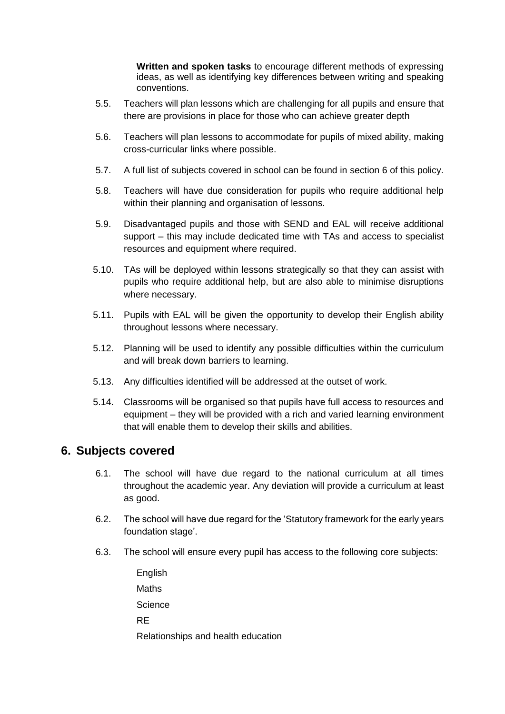**Written and spoken tasks** to encourage different methods of expressing ideas, as well as identifying key differences between writing and speaking conventions.

- 5.5. Teachers will plan lessons which are challenging for all pupils and ensure that there are provisions in place for those who can achieve greater depth
- 5.6. Teachers will plan lessons to accommodate for pupils of mixed ability, making cross-curricular links where possible.
- 5.7. A full list of subjects covered in school can be found in section 6 of this policy.
- 5.8. Teachers will have due consideration for pupils who require additional help within their planning and organisation of lessons.
- 5.9. Disadvantaged pupils and those with SEND and EAL will receive additional support – this may include dedicated time with TAs and access to specialist resources and equipment where required.
- 5.10. TAs will be deployed within lessons strategically so that they can assist with pupils who require additional help, but are also able to minimise disruptions where necessary.
- 5.11. Pupils with EAL will be given the opportunity to develop their English ability throughout lessons where necessary.
- 5.12. Planning will be used to identify any possible difficulties within the curriculum and will break down barriers to learning.
- 5.13. Any difficulties identified will be addressed at the outset of work.
- 5.14. Classrooms will be organised so that pupils have full access to resources and equipment – they will be provided with a rich and varied learning environment that will enable them to develop their skills and abilities.

#### **6. Subjects covered**

- 6.1. The school will have due regard to the national curriculum at all times throughout the academic year. Any deviation will provide a curriculum at least as good.
- 6.2. The school will have due regard for the 'Statutory framework for the early years foundation stage'.
- 6.3. The school will ensure every pupil has access to the following core subjects:

**English Maths Science** RE Relationships and health education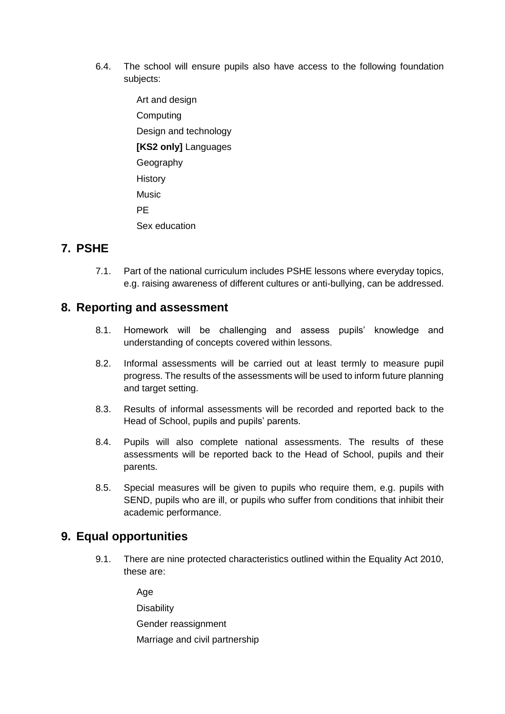- 6.4. The school will ensure pupils also have access to the following foundation subjects:
	- Art and design Computing Design and technology **[KS2 only]** Languages Geography **History** Music PE Sex education

## **7. PSHE**

7.1. Part of the national curriculum includes PSHE lessons where everyday topics, e.g. raising awareness of different cultures or anti-bullying, can be addressed.

### **8. Reporting and assessment**

- 8.1. Homework will be challenging and assess pupils' knowledge and understanding of concepts covered within lessons.
- 8.2. Informal assessments will be carried out at least termly to measure pupil progress. The results of the assessments will be used to inform future planning and target setting.
- 8.3. Results of informal assessments will be recorded and reported back to the Head of School, pupils and pupils' parents.
- 8.4. Pupils will also complete national assessments. The results of these assessments will be reported back to the Head of School, pupils and their parents.
- 8.5. Special measures will be given to pupils who require them, e.g. pupils with SEND, pupils who are ill, or pupils who suffer from conditions that inhibit their academic performance.

### **9. Equal opportunities**

9.1. There are nine protected characteristics outlined within the Equality Act 2010, these are:

Age

**Disability** 

Gender reassignment

Marriage and civil partnership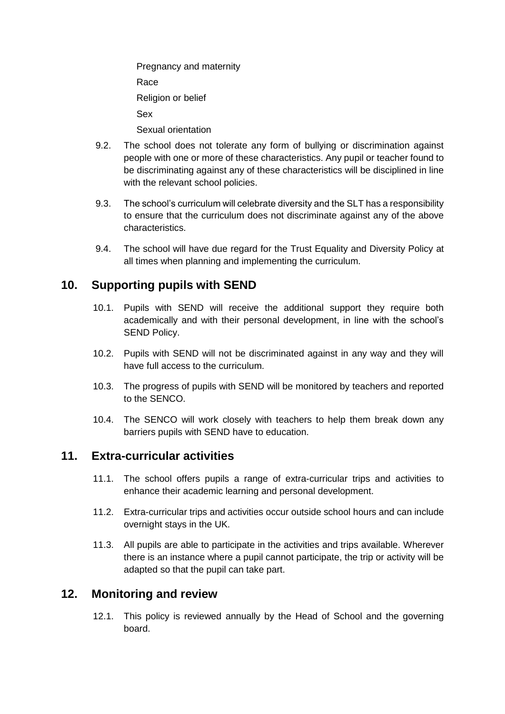Pregnancy and maternity Race Religion or belief Sex Sexual orientation

- 9.2. The school does not tolerate any form of bullying or discrimination against people with one or more of these characteristics. Any pupil or teacher found to be discriminating against any of these characteristics will be disciplined in line with the relevant school policies.
- 9.3. The school's curriculum will celebrate diversity and the SLT has a responsibility to ensure that the curriculum does not discriminate against any of the above characteristics.
- 9.4. The school will have due regard for the Trust Equality and Diversity Policy at all times when planning and implementing the curriculum.

## **10. Supporting pupils with SEND**

- 10.1. Pupils with SEND will receive the additional support they require both academically and with their personal development, in line with the school's SEND Policy.
- 10.2. Pupils with SEND will not be discriminated against in any way and they will have full access to the curriculum.
- 10.3. The progress of pupils with SEND will be monitored by teachers and reported to the SENCO.
- 10.4. The SENCO will work closely with teachers to help them break down any barriers pupils with SEND have to education.

### **11. Extra-curricular activities**

- 11.1. The school offers pupils a range of extra-curricular trips and activities to enhance their academic learning and personal development.
- 11.2. Extra-curricular trips and activities occur outside school hours and can include overnight stays in the UK.
- 11.3. All pupils are able to participate in the activities and trips available. Wherever there is an instance where a pupil cannot participate, the trip or activity will be adapted so that the pupil can take part.

### **12. Monitoring and review**

12.1. This policy is reviewed annually by the Head of School and the governing board.